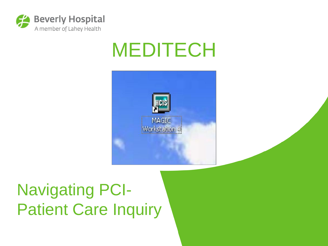

### MEDITECH



### Navigating PCI-Patient Care Inquiry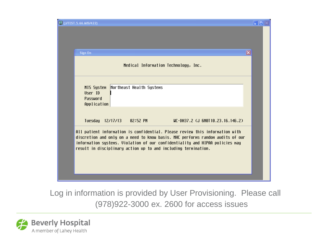| <b>ED</b> (J/TEST.5.66.MIS/422)                                                                                                                                                                                                                                                                                  | $\blacksquare$ $\blacksquare$ $\times$ |
|------------------------------------------------------------------------------------------------------------------------------------------------------------------------------------------------------------------------------------------------------------------------------------------------------------------|----------------------------------------|
|                                                                                                                                                                                                                                                                                                                  |                                        |
| Sign On                                                                                                                                                                                                                                                                                                          | $ \mathsf{x} $                         |
| Medical Information Technology, Inc.                                                                                                                                                                                                                                                                             |                                        |
| Northeast Health Systems<br>MIS System<br>User ID<br>Password<br>Application                                                                                                                                                                                                                                     |                                        |
| $UC$ -DH37.2 $GL$ 6N0T10.23.16.146.2)<br>Tuesday 12/17/13 02:52 PM                                                                                                                                                                                                                                               |                                        |
| All patient information is confidential. Please review this information with<br>discretion and only on a need to know basis. NHC performs random audits of our<br>information systems. Violation of our confidentiality and HIPAA policies may<br>result in disciplinary action up to and including termination. |                                        |
|                                                                                                                                                                                                                                                                                                                  |                                        |

Log in information is provided by User Provisioning. Please call (978)922-3000 ex. 2600 for access issues

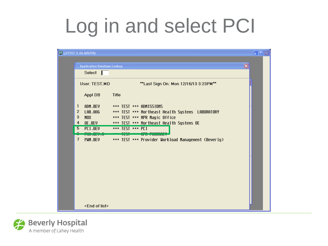# Log in and select PCI

| 回 (J/TEST.5.66.MIS/58)             |                                                     | $\Box$ er |
|------------------------------------|-----------------------------------------------------|-----------|
| <b>Application Database Lookup</b> | $\mathbf{\mathbf{X}}$                               |           |
| Select                             |                                                     |           |
| User: TEST, MD                     | **Last Sign On: Mon 12/16/13 3:23PM**               |           |
| Appl DB                            | <b>Title</b>                                        |           |
| ADM.BEV<br>1                       | *** TEST *** ADMISSIONS                             |           |
| $\overline{2}$<br>LAB.ADG          | *** TEST *** Northeast Health Systems LABORATORY    |           |
| 3<br><b>MOX</b>                    | *** TEST *** NPR Magic Office                       |           |
| OE.BEV<br>4                        | *** TEST *** Northeast Health Systems OE            |           |
| PCI.BEV<br>5                       | $***$ TEST $***$ PCT                                |           |
| <u>Librosytic</u>                  | TEST THE THINKIET                                   |           |
| 7<br>PUM.BEV                       | *** TEST *** Provider Workload Management (Beverly) |           |
|                                    |                                                     |           |
|                                    |                                                     |           |
|                                    |                                                     |           |
|                                    |                                                     |           |
|                                    |                                                     |           |
|                                    |                                                     |           |
|                                    |                                                     |           |
|                                    |                                                     |           |
|                                    |                                                     |           |
| <end list="" of=""></end>          |                                                     |           |

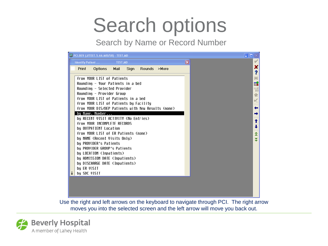## Search options

Search by Name or Record Number



Use the right and left arrows on the keyboard to navigate through PCI. The right arrow moves you into the selected screen and the left arrow will move you back out.

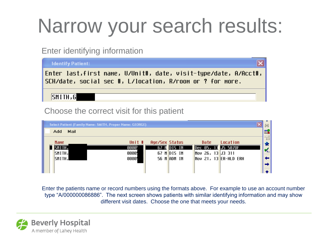# Narrow your search results:

#### Enter identifying information

**Identify Patient:** Enter last,first name, U/Unit#, date, visit-type/date, A/Acct#, SCH/date, social sec #, L/location, R/room or ? for more, SMITH, G

#### Choose the correct visit for this patient

|             |      | Select Patient (Family Name: SMITH, Proper Name: GEORGE) |                |                 |                         |          |                                                                    |
|-------------|------|----------------------------------------------------------|----------------|-----------------|-------------------------|----------|--------------------------------------------------------------------|
| Add         | Mail |                                                          |                |                 |                         |          | 國                                                                  |
| <b>Name</b> |      | Unit #                                                   | Age/Sex Status |                 | Date                    | Location | ᆒ                                                                  |
| SMITH,      |      | 0000.                                                    |                | 67 M DIS IN     | Dec 05, 13 J5 5070F     |          | $\star$<br>$\mathbf{v}_{\scriptscriptstyle{\text{flat}}}^{\prime}$ |
| SMITH,      |      | 0000                                                     |                | 67 M DIS IN     | $\sqrt{26}$ , 13 J3 311 |          |                                                                    |
| SMITH,      |      | 0000!                                                    |                | $56$ M $ADM$ IN | $Nov$ 21, 13 ER-HLD ERH |          | ←∣<br>⇛∣                                                           |
|             |      |                                                          |                |                 |                         |          |                                                                    |

Enter the patients name or record numbers using the formats above. For example to use an account number type "A/000000086886". The next screen shows patients with similar identifying information and may show different visit dates. Choose the one that meets your needs.

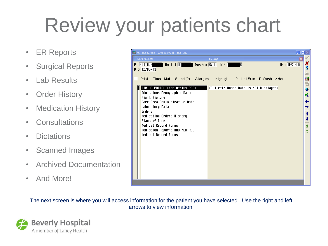# Review your patients chart

- ER Reports
- Surgical Reports
- Lab Results
- Order History
- Medication History
- Consultations
- Dictations
- Scanned Images
- Archived Documentation
- And More!

| <b>EF PCI.BEV (J/TEST.5.66.MIS/58) - TEST,MD</b>                                                     |                                   |
|------------------------------------------------------------------------------------------------------|-----------------------------------|
| <b>Data Sources</b><br>16 Days                                                                       |                                   |
| User TEST-MD<br>Unit # $\boxed{00}$<br><b>Age/Sex 67 M DOB</b><br>Pt SMITH, G                        | ×                                 |
| DIS 12/05/13                                                                                         | ?<br>繭                            |
| Select(2)<br><b>Allergies</b><br><b>Highlight</b><br>Patient.Sum Refresh >More<br>Print<br>Time Mail | 或                                 |
|                                                                                                      | $\vec{\eta}$                      |
| ATRIUS PORTAL *Non Atrius PCP*<br><bulletin board="" data="" displayed="" is="" not=""></bulletin>   | $\boldsymbol{*}$                  |
| Admissions Demographic Data<br>Visit History                                                         | $\mathbf{v}_{\text{in}}^{\prime}$ |
| Care-Area Administrative Data                                                                        | ←                                 |
| Laboratory Data                                                                                      |                                   |
| Orders<br>Medication Orders History                                                                  | T                                 |
| Plans of Care                                                                                        |                                   |
| Medical Record Forms                                                                                 | ≏                                 |
| Admission Reports AND MED REC<br>Medical Record Forms                                                | ₹                                 |
|                                                                                                      |                                   |
|                                                                                                      |                                   |
|                                                                                                      |                                   |
|                                                                                                      |                                   |
|                                                                                                      |                                   |
|                                                                                                      |                                   |
|                                                                                                      |                                   |
|                                                                                                      |                                   |

The next screen is where you will access information for the patient you have selected. Use the right and left arrows to view information.

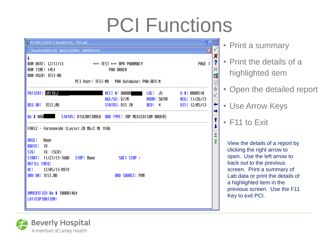# PCI Functions



• Print a summary

- Print the details of a highlighted item
- Open the detailed report
- Use Arrow Keys
- F11 to Exit
- View the details of a report by clicking the right arrow to open. Use the left arrow to back out to the previous screen. Print a summary of Lab data or print the details of a highlighted item in the previous screen. Use the F11 Key to exit PCI.